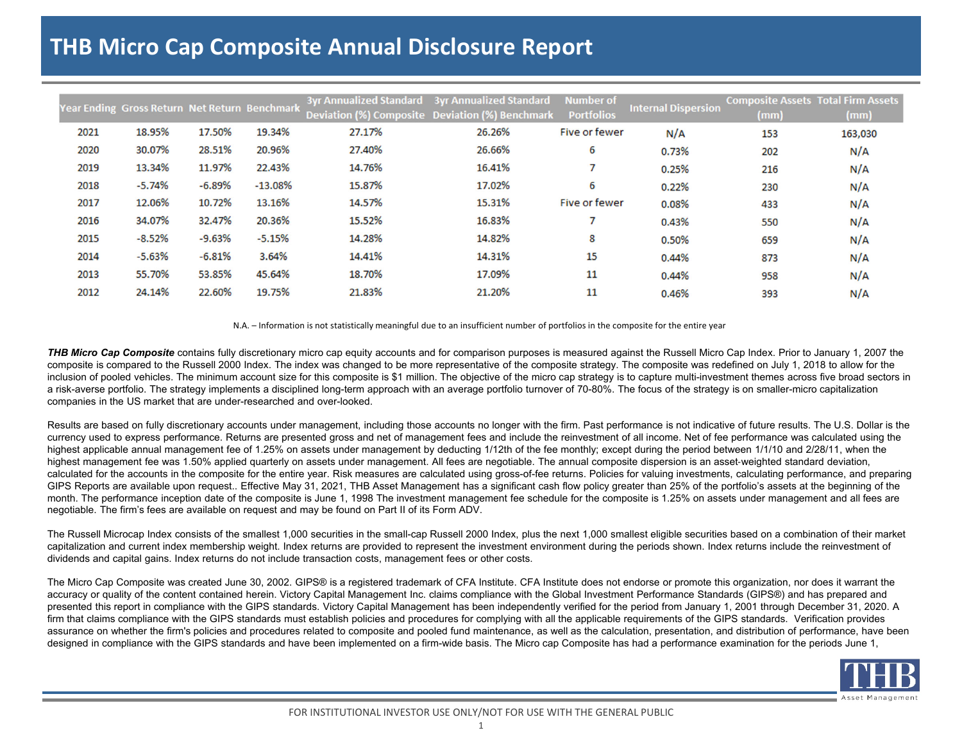## **THB Micro Cap Composite Annual Disclosure Report**

|      | Year Ending Gross Return Net Return Benchmark |          |           |        | 3yr Annualized Standard 3yr Annualized Standard | <b>Number of</b>  | <b>Internal Dispersion</b> | <b>Composite Assets Total Firm Assets</b> |         |
|------|-----------------------------------------------|----------|-----------|--------|-------------------------------------------------|-------------------|----------------------------|-------------------------------------------|---------|
|      |                                               |          |           |        | Deviation (%) Composite Deviation (%) Benchmark | <b>Portfolios</b> |                            | (mm)                                      | (mm)    |
| 2021 | 18.95%                                        | 17.50%   | 19.34%    | 27.17% | 26.26%                                          | Five or fewer     | N/A                        | 153                                       | 163,030 |
| 2020 | 30.07%                                        | 28.51%   | 20.96%    | 27.40% | 26.66%                                          | 6                 | 0.73%                      | 202                                       | N/A     |
| 2019 | 13.34%                                        | 11.97%   | 22.43%    | 14.76% | 16.41%                                          |                   | 0.25%                      | 216                                       | N/A     |
| 2018 | $-5.74%$                                      | $-6.89%$ | $-13.08%$ | 15.87% | 17.02%                                          | 6                 | 0.22%                      | 230                                       | N/A     |
| 2017 | 12.06%                                        | 10.72%   | 13.16%    | 14.57% | 15.31%                                          | Five or fewer     | 0.08%                      | 433                                       | N/A     |
| 2016 | 34.07%                                        | 32.47%   | 20.36%    | 15.52% | 16.83%                                          |                   | 0.43%                      | 550                                       | N/A     |
| 2015 | $-8.52%$                                      | $-9.63%$ | $-5.15%$  | 14.28% | 14.82%                                          | 8                 | 0.50%                      | 659                                       | N/A     |
| 2014 | $-5.63%$                                      | $-6.81%$ | 3.64%     | 14.41% | 14.31%                                          | 15                | 0.44%                      | 873                                       | N/A     |
| 2013 | 55.70%                                        | 53.85%   | 45.64%    | 18.70% | 17.09%                                          | 11                | 0.44%                      | 958                                       | N/A     |
| 2012 | 24.14%                                        | 22.60%   | 19.75%    | 21.83% | 21.20%                                          | 11                | 0.46%                      | 393                                       | N/A     |

N.A. – Information is not statistically meaningful due to an insufficient number of portfolios in the composite for the entire year

**THB Micro Cap Composite** contains fully discretionary micro cap equity accounts and for comparison purposes is measured against the Russell Micro Cap Index. Prior to January 1, 2007 the composite is compared to the Russell 2000 Index. The index was changed to be more representative of the composite strategy. The composite was redefined on July 1, 2018 to allow for the inclusion of pooled vehicles. The minimum account size for this composite is \$1 million. The objective of the micro cap strategy is to capture multi-investment themes across five broad sectors in a risk-averse portfolio. The strategy implements a disciplined long-term approach with an average portfolio turnover of 70-80%. The focus of the strategy is on smaller-micro capitalization companies in the US market that are under-researched and over-looked.

Results are based on fully discretionary accounts under management, including those accounts no longer with the firm. Past performance is not indicative of future results. The U.S. Dollar is the currency used to express performance. Returns are presented gross and net of management fees and include the reinvestment of all income. Net of fee performance was calculated using the highest applicable annual management fee of 1.25% on assets under management by deducting 1/12th of the fee monthly; except during the period between 1/1/10 and 2/28/11, when the highest management fee was 1.50% applied quarterly on assets under management. All fees are negotiable. The annual composite dispersion is an asset-weighted standard deviation, calculated for the accounts in the composite for the entire year. Risk measures are calculated using gross-of-fee returns. Policies for valuing investments, calculating performance, and preparing GIPS Reports are available upon request.. Effective May 31, 2021, THB Asset Management has a significant cash flow policy greater than 25% of the portfolio's assets at the beginning of the month. The performance inception date of the composite is June 1, 1998 The investment management fee schedule for the composite is 1.25% on assets under management and all fees are negotiable. The firm's fees are available on request and may be found on Part II of its Form ADV.

The Russell Microcap Index consists of the smallest 1,000 securities in the small-cap Russell 2000 Index, plus the next 1,000 smallest eligible securities based on a combination of their market capitalization and current index membership weight. Index returns are provided to represent the investment environment during the periods shown. Index returns include the reinvestment of dividends and capital gains. Index returns do not include transaction costs, management fees or other costs.

The Micro Cap Composite was created June 30, 2002. GIPS® is a registered trademark of CFA Institute. CFA Institute does not endorse or promote this organization, nor does it warrant the accuracy or quality of the content contained herein. Victory Capital Management Inc. claims compliance with the Global Investment Performance Standards (GIPS®) and has prepared and presented this report in compliance with the GIPS standards. Victory Capital Management has been independently verified for the period from January 1, 2001 through December 31, 2020. A firm that claims compliance with the GIPS standards must establish policies and procedures for complying with all the applicable requirements of the GIPS standards. Verification provides assurance on whether the firm's policies and procedures related to composite and pooled fund maintenance, as well as the calculation, presentation, and distribution of performance, have been designed in compliance with the GIPS standards and have been implemented on a firm-wide basis. The Micro cap Composite has had a performance examination for the periods June 1,